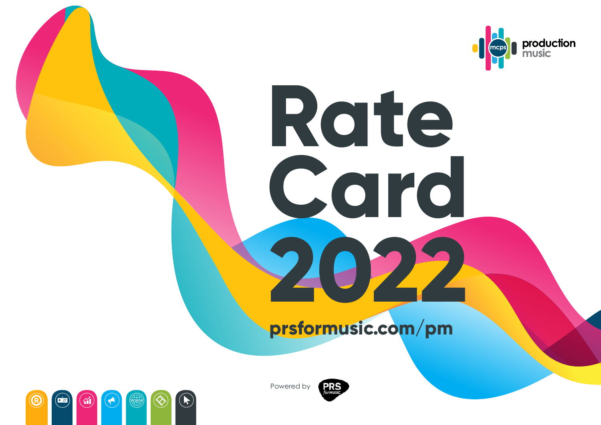

# **prsformusic.com/pm**

**Rate**

**Card**

**2022**





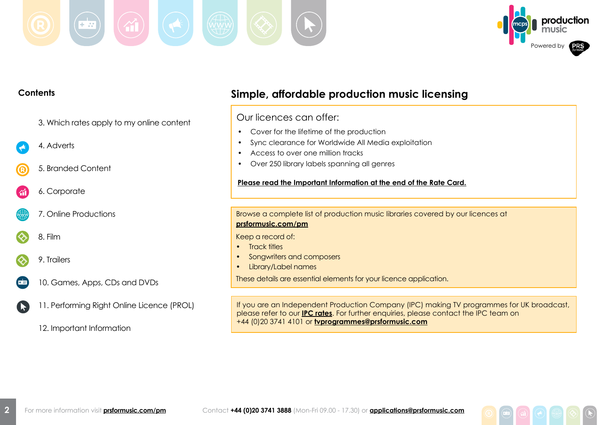



#### **Contents Simple, affordable production music licensing** Our licences can offer: 3. Which rates apply to my online content • Cover for the lifetime of the production • Sync clearance for Worldwide All Media exploitation 4. Adverts • Access to over one million tracks • Over 250 library labels spanning all genres 5. Branded Content **Please read the Important Information at the end of the Rate Card.** 6. Corporate 7. Online Productions Browse a complete list of production music libraries covered by our licences at **[prsformusic.com/p](prsformusic.com/libraries)m** 8. Film Keep a record of: • Track titles • Songwriters and composers 9. Trailers • Library/Label names These details are essential elements for your licence application. 10. Games, Apps, CDs and DVDs 11. Performing Right Online Licence (PROL) If you are an Independent Production Company (IPC) making TV programmes for UK broadcast, **K** please refer to our **[IPC rates](https://prsformusic.com/licences/broadcasting-music-on-tv/ipc-licence)**. For further enquiries, please contact the IPC team on +44 (0)20 3741 4101 or **[tvprogrammes@prsformusic.com](mailto:tvprogrammes%40prsformusic.com?subject=IPC%20Enquiry)**

12. Important Information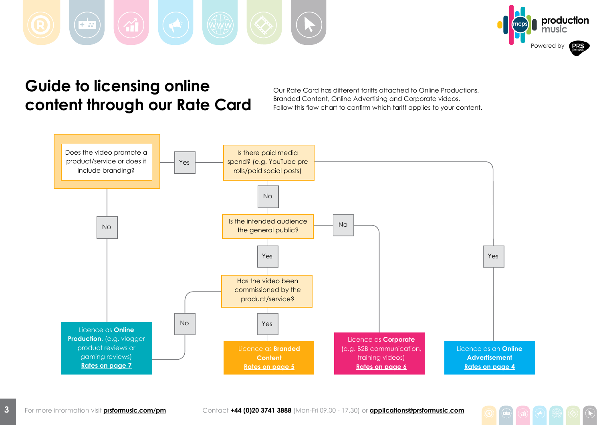<span id="page-2-0"></span>



# **Guide to licensing online content through our Rate Card**

Our Rate Card has different tariffs attached to Online Productions, Branded Content, Online Advertising and Corporate videos. Follow this flow chart to confirm which tariff applies to your content.

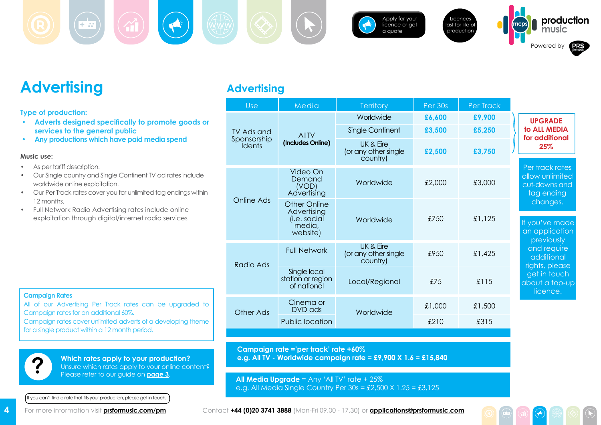



[Apply for your](https://musicshop.prsformusic.com/lmgr/)  [licence or get](https://musicshop.prsformusic.com/lmgr/)  [a quote](https://musicshop.prsformusic.com/lmgr/)





## **Advertising**

<span id="page-3-0"></span> $\frac{1}{1+2}$ 

**Type of production:**

- **• Adverts designed specifically to promote goods or services to the general public**
- **• Any productions which have paid media spend**

#### **Music use:**

- As per tariff description.
- • Our Single country and Single Continent TV ad rates include worldwide online exploitation.
- • Our Per Track rates cover you for unlimited tag endings within 12 months.
- • Full Network Radio Advertising rates include online exploitation through digital/internet radio services

|  | <b>Advertising</b> |  |
|--|--------------------|--|
|  |                    |  |

| Use                          | Media                                                                    | <b>Territory</b>                              | Per 30s | Per Track |                                                                   |
|------------------------------|--------------------------------------------------------------------------|-----------------------------------------------|---------|-----------|-------------------------------------------------------------------|
|                              |                                                                          | Worldwide                                     | £6,600  | £9,900    | <b>UPGRADE</b>                                                    |
| TV Ads and                   | All TV                                                                   | Single Continent                              | £3,500  | £5,250    | to ALL MEDIA                                                      |
| Sponsorship<br><b>Idents</b> | (Includes Online)                                                        | UK & Eire<br>(or any other single<br>country) | £2,500  | £3,750    | for additional<br>25%                                             |
|                              | Video On<br>Demand<br>(VOD)<br>Advertising                               | Worldwide                                     | £2,000  | £3,000    | Per track rates<br>allow unlimited<br>cut-downs and<br>tag ending |
| <b>Online Ads</b>            | <b>Other Online</b><br>Advertising<br>(i.e. social<br>media,<br>website) | Worldwide                                     | £750    | £1,125    | changes.<br>If you've made<br>an application<br>previously        |
| Radio Ads                    | <b>Full Network</b>                                                      | UK & Eire<br>(or any other single<br>country) | £950    | £1,425    | and require<br>additional<br>rights, please                       |
|                              | Single local<br>station or region<br>of national                         | Local/Regional                                | £75     | £115      | get in touch<br>about a top-up<br>licence.                        |
| Other Ads                    | Cinema or<br>DVD ads                                                     | Worldwide                                     | £1,000  | £1,500    |                                                                   |
|                              | Public location                                                          |                                               | £210    | £315      |                                                                   |
|                              |                                                                          |                                               |         |           |                                                                   |

#### **Campaign Rates**

All of our Advertising Per Track rates can be upgraded to Campaign rates for an additional 60%. Campaign rates cover unlimited adverts of a developing theme for a single product within a 12 month period.



If you can't find a rate that fits your production, please get in touch**.**

**Campaign rate ='per track' rate +60%**

**e.g. All TV - Worldwide campaign rate = £9,900 X 1.6 = £15,840**

**All Media Upgrade** = Any 'All TV' rate + 25% e.g. All Media Single Country Per 30s = £2,500 X 1.25 = £3,125

For more information visit **[prsformusic.com/pm](www.prsformusic.com/pm)** Contact **+44 (0)20 3741 3888** (Mon-Fri 09.00 - 17.30) or **[applications@prsformusic.com](mailto:applications%40prsformusic.com?subject=)**

**4**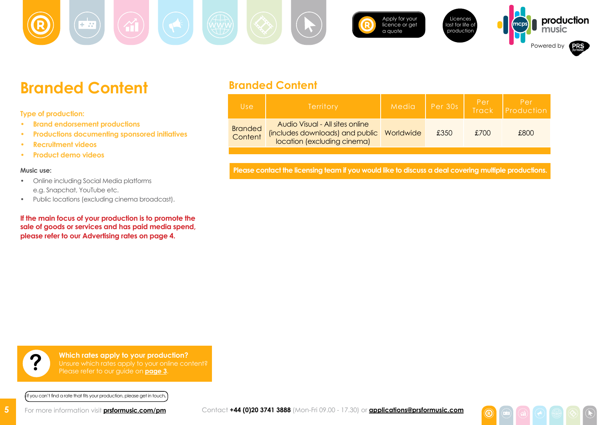<span id="page-4-0"></span>[Apply for your](https://musicshop.prsformusic.com/lmgr/)  Licences **production**  $\pm \frac{1}{2}$ [licence or get](https://musicshop.prsformusic.com/lmgr/)  last for life of **music** [a quote](https://musicshop.prsformusic.com/lmgr/) production Powered by

## **Branded Content**

**Type of production:**

- **• Brand endorsement productions**
- **• Productions documenting sponsored initiatives**
- **• Recruitment videos**
- **• Product demo videos**

#### **Music use:**

**5**

- • Online including Social Media platforms e.g. Snapchat, YouTube etc.
- • Public locations (excluding cinema broadcast).

**If the main focus of your production is to promote the sale of goods or services and has paid media spend, please refer to our Advertising rates on [page 4](#page-3-0).**

### **Branded Content**

| Use                       | <b>Territory</b>                                                                                  | Media     | Per 30s | Per<br><b>Track</b> | Per<br>Production |
|---------------------------|---------------------------------------------------------------------------------------------------|-----------|---------|---------------------|-------------------|
| <b>Branded</b><br>Content | Audio Visual - All sites online<br>(includes downloads) and public<br>location (excluding cinema) | Worldwide | £350    | £700                | £800              |

**Please contact the licensing team if you would like to discuss a deal covering multiple productions.**

**Which rates apply to your production? Particular Video Entity on the Unsure which rates apply to your online content?**<br>**Please refer to our guide on <u>[page 3](#page-2-0)</u>.** 

If you can't find a rate that fits your production, please get in touch**.**

For more information visit **[prsformusic.com/pm](www.prsformusic.com/pm)** Contact **+44 (0)20 3741 3888** (Mon-Fri 09.00 - 17.30) or **[applications@prsformusic.com](mailto:applications%40prsformusic.com?subject=)**

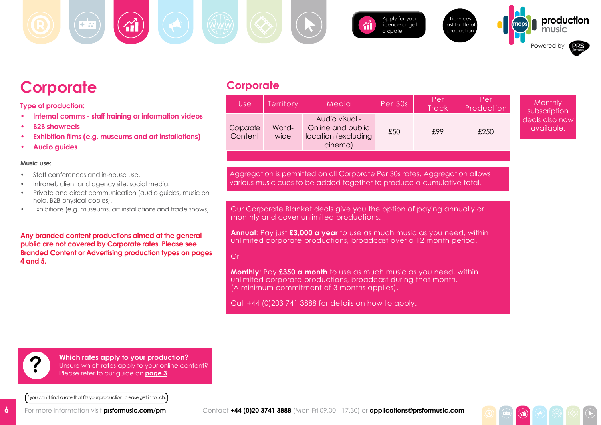



[Apply for your](https://musicshop.prsformusic.com/lmgr/)  licence or get [a quote](https://musicshop.prsformusic.com/lmgr/)





**mcps production**

## <span id="page-5-0"></span>**Corporate**

**Type of production:**

- **• Internal comms staff training or information videos**
- **B2B showreels**
- **Exhibition films (e.g. museums and art installations)**
- **• Audio guides**

#### **Music use:**

- Staff conferences and in-house use.
- Intranet, client and agency site, social media.
- Private and direct communication (audio guides, music on hold, B2B physical copies).
- Exhibitions (e.g. museums, art installations and trade shows).

**Any branded content productions aimed at the general public are not covered by Corporate rates. Please see Branded Content or Advertising production types on pages 4 and 5.**

## **Corporate**

| Use                  | <b>Territory</b> | Media                                                                 | Per 30s | <b>Per</b><br><b>Track</b> | Per<br><b>Production</b> | <b>Monthly</b><br>subscription |
|----------------------|------------------|-----------------------------------------------------------------------|---------|----------------------------|--------------------------|--------------------------------|
| Corporate<br>Content | World-<br>wide   | Audio visual -<br>Online and public<br>location (excluding<br>cinema) | £50     | £99                        | £250                     | deals also now<br>available.   |

Aggregation is permitted on all Corporate Per 30s rates. Aggregation allows various music cues to be added together to produce a cumulative total.

Our Corporate Blanket deals give you the option of paying annually or monthly and cover unlimited productions.

**Annual**: Pay just **£3,000 a year** to use as much music as you need, within unlimited corporate productions, broadcast over a 12 month period.

### Or

**Monthly**: Pay **£350 a month** to use as much music as you need, within unlimited corporate productions, broadcast during that month. (A minimum commitment of 3 months applies).

Call +44 (0)203 741 3888 for details on how to apply.

**Which rates apply to your production?** Unsure which rates apply to your online content? **?** Please refer to our guide on **[page](#page-2-0) 3**.

If you can't find a rate that fits your production, please get in touch**.**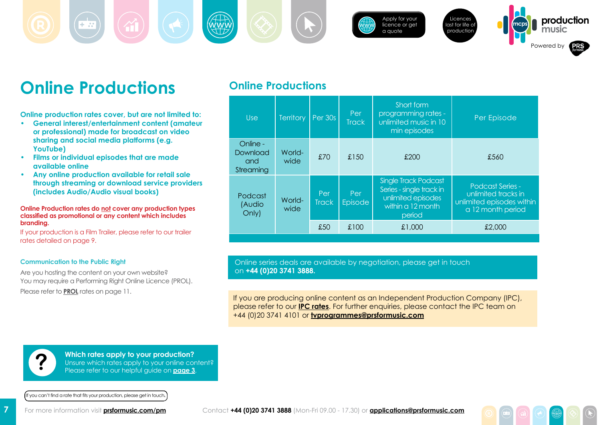<span id="page-6-0"></span>[Apply for your](https://musicshop.prsformusic.com/lmgr/)  [licence or get](https://musicshop.prsformusic.com/lmgr/)  [a quote](https://musicshop.prsformusic.com/lmgr/) Licences last for life of production **mcps production music** Powered by

# **Online Productions**

**Online production rates cover, but are not limited to:**

- **• General interest/entertainment content (amateur or professional) made for broadcast on video sharing and social media platforms (e.g. YouTube)**
- **• Films or individual episodes that are made available online**
- **• Any online production available for retail sale through streaming or download service providers (includes Audio/Audio visual books)**

#### **Online Production rates do not cover any production types classified as promotional or any content which includes branding.**

If your production is a Film Trailer, please refer to our trailer rates detailed on page 9.

#### **Communication to the Public Right**

Are you hosting the content on your own website? You may require a Performing Right Online Licence (PROL). Please refer to **[PROL](#page-10-0)** rates on page 11.

### **Online Productions**

| <b>Use</b>                               | <b>Territory</b> | Per 30s             | Short form<br>programming rates -<br>Per<br>unlimited music in 10<br><b>Track</b><br>min episodes |                                                                                                              | Per Episode                                                                                      |
|------------------------------------------|------------------|---------------------|---------------------------------------------------------------------------------------------------|--------------------------------------------------------------------------------------------------------------|--------------------------------------------------------------------------------------------------|
| Online -<br>Download<br>and<br>Streaming | World-<br>wide   | £70                 | £150                                                                                              | £200                                                                                                         | £560                                                                                             |
| Podcast<br>(Audio<br>Only)               | World-<br>wide   | Per<br><b>Track</b> | Per<br><b>Episode</b>                                                                             | <b>Single Track Podcast</b><br>Series - single track in<br>unlimited episodes<br>within a 12 month<br>period | <b>Podcast Series -</b><br>unlimited tracks in<br>unlimited episodes within<br>a 12 month period |
|                                          |                  | £50                 | £100                                                                                              | £1,000                                                                                                       | £2,000                                                                                           |

Online series deals are available by negotiation, please get in touch on **+44 (0)20 3741 3888.**

If you are producing online content as an Independent Production Company (IPC), please refer to our **[IPC rates](https://prsformusic.com/licences/broadcasting-music-on-tv/ipc-licence)**. For further enquiries, please contact the IPC team on +44 (0)20 3741 4101 or **[tvprogrammes@prsformusic.com](mailto:tvprogrammes%40prsformusic.com?subject=IPC%20Enquiry)**

**Which rates apply to your production?** Unsure which rates apply to your online content? **?** Please refer to our helpful guide on **[page 3](#page-2-0)**.

If you can't find a rate that fits your production, please get in touch**.**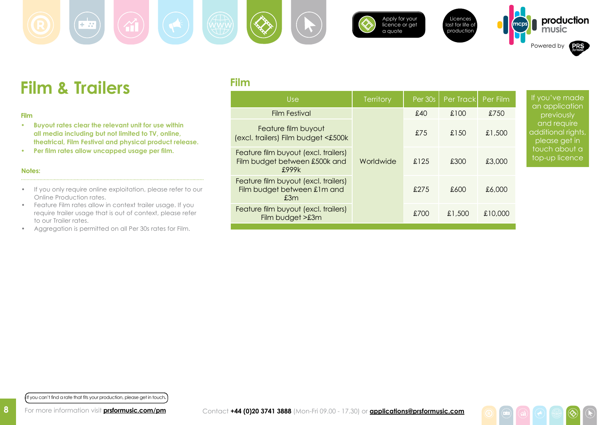

**Film**



[Apply for your](https://musicshop.prsformusic.com/lmgr/)  [licence or get](https://musicshop.prsformusic.com/lmgr/)  [a quote](https://musicshop.prsformusic.com/lmgr/)





**production** 

# **Film & Trailers**

 $+ \pi$ 

#### **Film**

- **• Buyout rates clear the relevant unit for use within all media including but not limited to TV, online, theatrical, Film Festival and physical product release.**
- **Per film rates allow uncapped usage per film.**

#### **Notes:**

**8**

- If you only require online exploitation, please refer to our Online Production rates.
- Feature Film rates allow in context trailer usage. If you require trailer usage that is out of context, please refer to our Trailer rates.
- Aggregation is permitted on all Per 30s rates for Film.

| <b>Use</b>                                                                     | <b>Territory</b> | Per 30s | Per Track | Per Film | If you'v<br>an app |
|--------------------------------------------------------------------------------|------------------|---------|-----------|----------|--------------------|
| <b>Film Festival</b>                                                           |                  | £40     | £100      | £750     |                    |
| Feature film buyout<br>(excl. trailers) Film budget <£500k                     |                  | £75     | £150      | £1,500   | additior           |
| Feature film buyout (excl. trailers)<br>Film budget between £500k and<br>£999k | Worldwide        | £125    | £300      | £3,000   | touch of<br>top-up |
| Feature film buyout (excl. trailers)<br>Film budget between £1m and<br>£3m     |                  | £275    | £600      | £6,000   |                    |
| Feature film buyout (excl. trailers)<br>Film budget >£3m                       |                  | £700    | £1,500    | £10,000  |                    |

e made lication iously equire al rights, get in about a licence

If you can't find a rate that fits your production, please get in touch**.**

For more information visit **[prsformusic.com/pm](www.prsformusic.com/pm)**

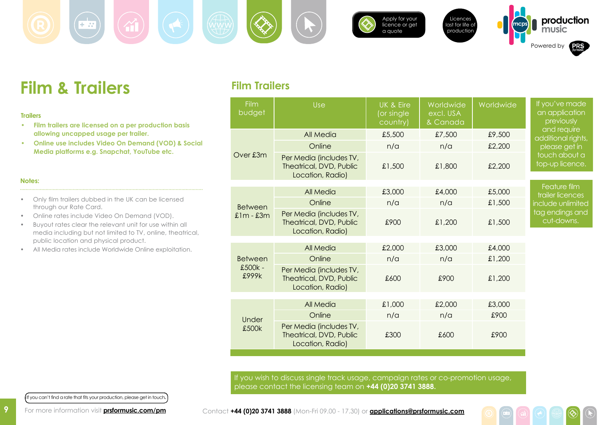



[Apply for your](https://musicshop.prsformusic.com/lmgr/)  [licence or get](https://musicshop.prsformusic.com/lmgr/)  [a quote](https://musicshop.prsformusic.com/lmgr/)





**Film & Trailers**

#### **Trailers**

- **• Film trailers are licensed on a per production basis allowing uncapped usage per trailer.**
- **• Online use includes Video On Demand (VOD) & Social Media platforms e.g. Snapchat, YouTube etc.**

#### **Notes:**

- Only film trailers dubbed in the UK can be licensed through our Rate Card.
- • Online rates include Video On Demand (VOD).
- • Buyout rates clear the relevant unit for use within all media including but not limited to TV, online, theatrical, public location and physical product.
- • All Media rates include Worldwide Online exploitation.

### **Film Trailers**

| Film<br>budget   | Use                                                                    | <b>UK &amp; Eire</b><br>(or single<br>country) | Worldwide<br>excl. USA<br>& Canada | Worldwide | If you've made<br>an application<br>previously |
|------------------|------------------------------------------------------------------------|------------------------------------------------|------------------------------------|-----------|------------------------------------------------|
|                  | All Media                                                              | £5,500                                         | £7,500                             | £9,500    | and require<br>additional rights,              |
|                  | Online                                                                 | n/a                                            | n/a                                | £2,200    | please get in                                  |
| Over £3m         | Per Media (includes TV,<br>Theatrical, DVD, Public<br>Location, Radio) | £1,500                                         | £1,800                             | £2,200    | touch about a<br>top-up licence.               |
|                  | All Media                                                              | £3,000                                         | £4,000                             | £5,000    | Feature film                                   |
|                  |                                                                        |                                                |                                    |           | trailer licences                               |
| <b>Between</b>   | Online                                                                 | n/a                                            | n/a                                | £1,500    | include unlimited<br>tag endings and           |
| $£1m - £3m$      | Per Media (includes TV,<br>Theatrical, DVD, Public<br>Location, Radio) | £900                                           | £1,200                             | £1,500    | cut-downs.                                     |
|                  |                                                                        |                                                |                                    |           |                                                |
|                  | All Media                                                              | £2,000                                         | £3,000                             | £4,000    |                                                |
| <b>Between</b>   | Online                                                                 | n/a                                            | n/a                                | £1,200    |                                                |
| £500k -<br>£999k | Per Media (includes TV,<br>Theatrical, DVD, Public<br>Location, Radio) | £600                                           | £900                               | £1,200    |                                                |
|                  | <b>All Media</b>                                                       | £1,000                                         | £2,000                             | £3,000    |                                                |
|                  | Online                                                                 | n/a                                            | n/a                                | £900      |                                                |
| Under            |                                                                        |                                                |                                    |           |                                                |
| £500k            | Per Media (includes TV,<br>Theatrical, DVD, Public<br>Location, Radio) | £300                                           | £600                               | £900      |                                                |

If you wish to discuss single track usage, campaign rates or co-promotion usage, please contact the licensing team on **+44 (0)20 3741 3888.**

If you can't find a rate that fits your production, please get in touch**.**

For more information visit **[prsformusic.com/pm](www.prsformusic.com/pm)**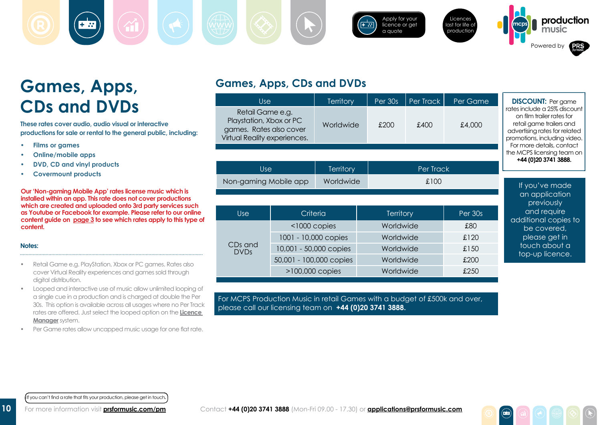[Apply for your](https://musicshop.prsformusic.com/lmgr/)  Licences  $\left| + \frac{1}{n^2} \right|$ [licence or get](https://musicshop.prsformusic.com/lmgr/)  last for life of [a quote](https://musicshop.prsformusic.com/lmgr/) production Powered by

# **Games, Apps, CDs and DVDs**

**These rates cover audio, audio visual or interactive productions for sale or rental to the general public, including:**

- **Films or games**
- *<u>Online/mobile apps</u>*
- **DVD, CD and vinyl products**
- **Covermount products**

**Our 'Non-gaming Mobile App' rates license music which is installed within an app. This rate does not cover productions which are created and uploaded onto 3rd party services such as Youtube or Facebook for example. Please refer to our online content guide on [page 3](#page-2-0) to see which rates apply to this type of content.**

#### **Notes:**

- Retail Game e.g. PlayStation, Xbox or PC games. Rates also cover Virtual Reality experiences and games sold through digital distribution.
- • Looped and interactive use of music allow unlimited looping of a single cue in a production and is charged at double the Per 30s. This option is available across all usages where no Per Track rates are offered. Just select the looped option on the **[Licence](https://musicshop.prsformusic.com/lmgr/)  [Manager](https://musicshop.prsformusic.com/lmgr/)** system.
- Per Game rates allow uncapped music usage for one flat rate.

### **Games, Apps, CDs and DVDs**

| Use                                                                                                    |                         | <b>Territory</b>     | Per 30s          | Per Track | Per Game | <b>DISCOUNT:</b> Per game                                                                                                                                                           |  |
|--------------------------------------------------------------------------------------------------------|-------------------------|----------------------|------------------|-----------|----------|-------------------------------------------------------------------------------------------------------------------------------------------------------------------------------------|--|
| Retail Game e.g.<br>Playstation, Xbox or PC<br>games. Rates also cover<br>Virtual Reality experiences. |                         | Worldwide            | £200<br>£400     |           | £4,000   | rates include a 25% discount<br>on film trailer rates for<br>retail game trailers and<br>advertising rates for related<br>promotions, including video.<br>For more details, contact |  |
|                                                                                                        |                         |                      |                  |           |          | the MCPS licensing team on<br>+44 (0) 20 3741 3888.                                                                                                                                 |  |
| <b>Use</b>                                                                                             |                         | <b>Territory</b>     |                  | Per Track |          |                                                                                                                                                                                     |  |
| Non-gaming Mobile app                                                                                  |                         | Worldwide            | £100             |           |          | If you've made                                                                                                                                                                      |  |
|                                                                                                        |                         |                      |                  |           |          | an application<br>previously                                                                                                                                                        |  |
| <b>Use</b><br>Criteria                                                                                 |                         |                      | <b>Territory</b> |           | Per 30s  | and require<br>additional copies to                                                                                                                                                 |  |
| $<$ 1000 copies                                                                                        |                         |                      | Worldwide        |           | £80      |                                                                                                                                                                                     |  |
|                                                                                                        |                         | 1001 - 10,000 copies | Worldwide        |           | £120     | please get in                                                                                                                                                                       |  |
| CDs and<br><b>DVDs</b>                                                                                 | 10,001 - 50,000 copies  |                      | Worldwide        |           | £150     | touch about a                                                                                                                                                                       |  |
|                                                                                                        | 50,001 - 100,000 copies |                      | Worldwide        |           | £200     | top-up licence.                                                                                                                                                                     |  |
|                                                                                                        | $>100,000$ copies       |                      | Worldwide        |           | £250     |                                                                                                                                                                                     |  |

For MCPS Production Music in retail Games with a budget of £500k and over, please call our licensing team on **+44 (0)20 3741 3888.**

If you can't find a rate that fits your production, please get in touch**.**

For more information visit **[prsformusic.com/pm](www.prsformusic.com/pm)**

**mcps production**

**music**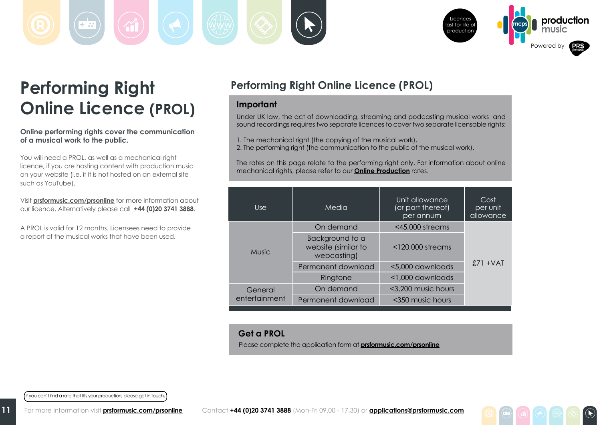<span id="page-10-0"></span>



 $\left( \widehat{\mathbf{R}}\right)$ 

# **Performing Right Online Licence (PROL)**

**Online performing rights cover the communication of a musical work to the public.** 

You will need a PROL, as well as a mechanical right licence, if you are hosting content with production music on your website (i.e. if it is not hosted on an external site such as YouTube).

Visit **[prsformusic.com/prsonline](http://prsformusic.com/users/broadcastandonline/onlinemobile/Pages/PerformingRightOnlinelicence.aspx)** for more information about our licence. Alternatively please call **+44 (0)20 3741 3888**.

A PROL is valid for 12 months. Licensees need to provide a report of the musical works that have been used.

## **Performing Right Online Licence (PROL)**

### **Important**

Under UK law, the act of downloading, streaming and podcasting musical works and sound recordings requires two separate licences to cover two separate licensable rights:

1. The mechanical right (the copying of the musical work).

2. The performing right (the communication to the public of the musical work).

The rates on this page relate to the performing right only. For information about online mechanical rights, please refer to our **[Online Production](#page-6-0)** rates.

| Use           | Media                                                 | Unit allowance<br>(or part thereof)<br>per annum | Cost<br>per unit<br>allowance |
|---------------|-------------------------------------------------------|--------------------------------------------------|-------------------------------|
|               | On demand                                             | $<$ 45,000 streams                               |                               |
| <b>Music</b>  | Background to a<br>website (similar to<br>webcasting) | $<$ 120,000 streams                              |                               |
|               | Permanent download                                    | <5,000 downloads                                 | $£71 + VAT$                   |
|               | Ringtone                                              | <1,000 downloads                                 |                               |
| General       | On demand                                             | <3,200 music hours                               |                               |
| entertainment | Permanent download                                    | <350 music hours                                 |                               |

### **Get a PROL**

Please complete the application form at **[prsformusic.com/prsonline](http://www.prsformusic.com/prsonline)**

If you can't find a rate that fits your production, please get in touch**.**

**11**